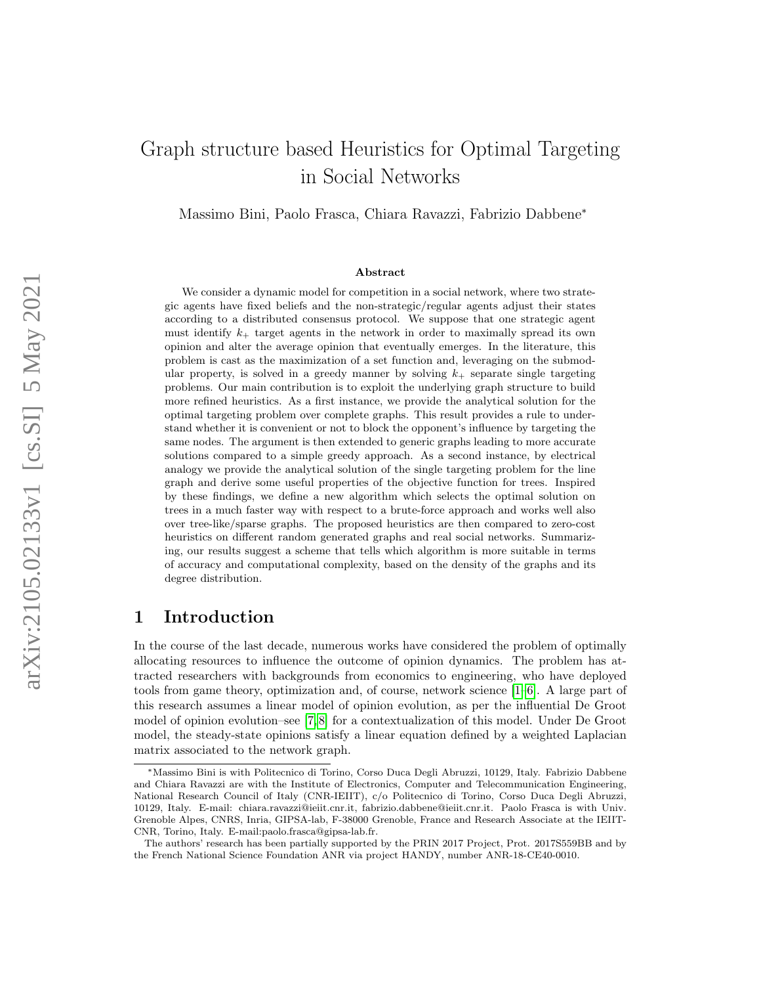# Graph structure based Heuristics for Optimal Targeting in Social Networks

Massimo Bini, Paolo Frasca, Chiara Ravazzi, Fabrizio Dabbene<sup>∗</sup>

#### Abstract

We consider a dynamic model for competition in a social network, where two strategic agents have fixed beliefs and the non-strategic/regular agents adjust their states according to a distributed consensus protocol. We suppose that one strategic agent must identify  $k_{+}$  target agents in the network in order to maximally spread its own opinion and alter the average opinion that eventually emerges. In the literature, this problem is cast as the maximization of a set function and, leveraging on the submodular property, is solved in a greedy manner by solving  $k_{+}$  separate single targeting problems. Our main contribution is to exploit the underlying graph structure to build more refined heuristics. As a first instance, we provide the analytical solution for the optimal targeting problem over complete graphs. This result provides a rule to understand whether it is convenient or not to block the opponent's influence by targeting the same nodes. The argument is then extended to generic graphs leading to more accurate solutions compared to a simple greedy approach. As a second instance, by electrical analogy we provide the analytical solution of the single targeting problem for the line graph and derive some useful properties of the objective function for trees. Inspired by these findings, we define a new algorithm which selects the optimal solution on trees in a much faster way with respect to a brute-force approach and works well also over tree-like/sparse graphs. The proposed heuristics are then compared to zero-cost heuristics on different random generated graphs and real social networks. Summarizing, our results suggest a scheme that tells which algorithm is more suitable in terms of accuracy and computational complexity, based on the density of the graphs and its degree distribution.

## 1 Introduction

In the course of the last decade, numerous works have considered the problem of optimally allocating resources to influence the outcome of opinion dynamics. The problem has attracted researchers with backgrounds from economics to engineering, who have deployed tools from game theory, optimization and, of course, network science [\[1–](#page-17-0)[6\]](#page-18-0). A large part of this research assumes a linear model of opinion evolution, as per the influential De Groot model of opinion evolution–see [\[7,](#page-18-1) [8\]](#page-18-2) for a contextualization of this model. Under De Groot model, the steady-state opinions satisfy a linear equation defined by a weighted Laplacian matrix associated to the network graph.

<sup>∗</sup>Massimo Bini is with Politecnico di Torino, Corso Duca Degli Abruzzi, 10129, Italy. Fabrizio Dabbene and Chiara Ravazzi are with the Institute of Electronics, Computer and Telecommunication Engineering, National Research Council of Italy (CNR-IEIIT), c/o Politecnico di Torino, Corso Duca Degli Abruzzi, 10129, Italy. E-mail: chiara.ravazzi@ieiit.cnr.it, fabrizio.dabbene@ieiit.cnr.it. Paolo Frasca is with Univ. Grenoble Alpes, CNRS, Inria, GIPSA-lab, F-38000 Grenoble, France and Research Associate at the IEIIT-CNR, Torino, Italy. E-mail:paolo.frasca@gipsa-lab.fr.

The authors' research has been partially supported by the PRIN 2017 Project, Prot. 2017S559BB and by the French National Science Foundation ANR via project HANDY, number ANR-18-CE40-0010.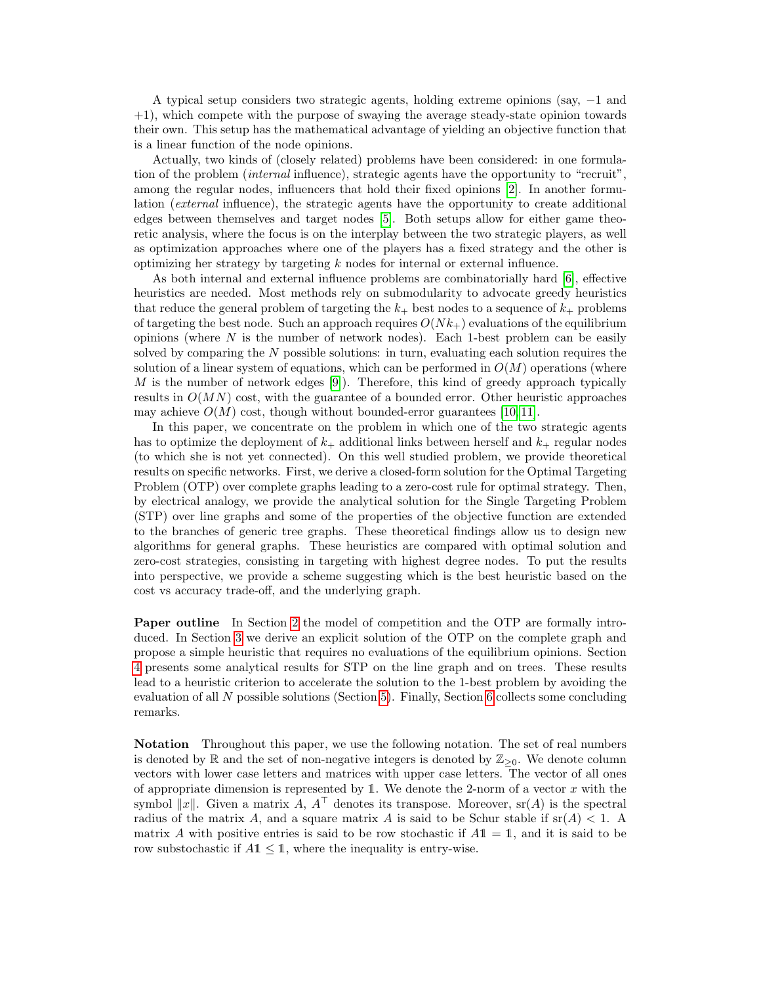A typical setup considers two strategic agents, holding extreme opinions (say, −1 and +1), which compete with the purpose of swaying the average steady-state opinion towards their own. This setup has the mathematical advantage of yielding an objective function that is a linear function of the node opinions.

Actually, two kinds of (closely related) problems have been considered: in one formulation of the problem *(internal* influence), strategic agents have the opportunity to "recruit", among the regular nodes, influencers that hold their fixed opinions [\[2\]](#page-17-1). In another formulation (external influence), the strategic agents have the opportunity to create additional edges between themselves and target nodes [\[5\]](#page-18-3). Both setups allow for either game theoretic analysis, where the focus is on the interplay between the two strategic players, as well as optimization approaches where one of the players has a fixed strategy and the other is optimizing her strategy by targeting k nodes for internal or external influence.

As both internal and external influence problems are combinatorially hard [\[6\]](#page-18-0), effective heuristics are needed. Most methods rely on submodularity to advocate greedy heuristics that reduce the general problem of targeting the  $k_{+}$  best nodes to a sequence of  $k_{+}$  problems of targeting the best node. Such an approach requires  $O(Nk<sub>+</sub>)$  evaluations of the equilibrium opinions (where  $N$  is the number of network nodes). Each 1-best problem can be easily solved by comparing the  $N$  possible solutions: in turn, evaluating each solution requires the solution of a linear system of equations, which can be performed in  $O(M)$  operations (where M is the number of network edges  $[9]$ . Therefore, this kind of greedy approach typically results in  $O(MN)$  cost, with the guarantee of a bounded error. Other heuristic approaches may achieve  $O(M)$  cost, though without bounded-error guarantees [\[10,](#page-18-5) [11\]](#page-18-6).

In this paper, we concentrate on the problem in which one of the two strategic agents has to optimize the deployment of  $k_{+}$  additional links between herself and  $k_{+}$  regular nodes (to which she is not yet connected). On this well studied problem, we provide theoretical results on specific networks. First, we derive a closed-form solution for the Optimal Targeting Problem (OTP) over complete graphs leading to a zero-cost rule for optimal strategy. Then, by electrical analogy, we provide the analytical solution for the Single Targeting Problem (STP) over line graphs and some of the properties of the objective function are extended to the branches of generic tree graphs. These theoretical findings allow us to design new algorithms for general graphs. These heuristics are compared with optimal solution and zero-cost strategies, consisting in targeting with highest degree nodes. To put the results into perspective, we provide a scheme suggesting which is the best heuristic based on the cost vs accuracy trade-off, and the underlying graph.

Paper outline In Section [2](#page-2-0) the model of competition and the OTP are formally introduced. In Section [3](#page-4-0) we derive an explicit solution of the OTP on the complete graph and propose a simple heuristic that requires no evaluations of the equilibrium opinions. Section [4](#page-7-0) presents some analytical results for STP on the line graph and on trees. These results lead to a heuristic criterion to accelerate the solution to the 1-best problem by avoiding the evaluation of all N possible solutions (Section [5\)](#page-14-0). Finally, Section [6](#page-17-2) collects some concluding remarks.

Notation Throughout this paper, we use the following notation. The set of real numbers is denoted by  $\mathbb R$  and the set of non-negative integers is denoted by  $\mathbb Z_{\geq 0}$ . We denote column vectors with lower case letters and matrices with upper case letters. The vector of all ones of appropriate dimension is represented by  $1$ . We denote the 2-norm of a vector x with the symbol  $||x||$ . Given a matrix A,  $A^{\top}$  denotes its transpose. Moreover, sr(A) is the spectral radius of the matrix A, and a square matrix A is said to be Schur stable if  $\operatorname{sr}(A) < 1$ . A matrix A with positive entries is said to be row stochastic if  $A1 = 1$ , and it is said to be row substochastic if  $A1 \leq 1$ , where the inequality is entry-wise.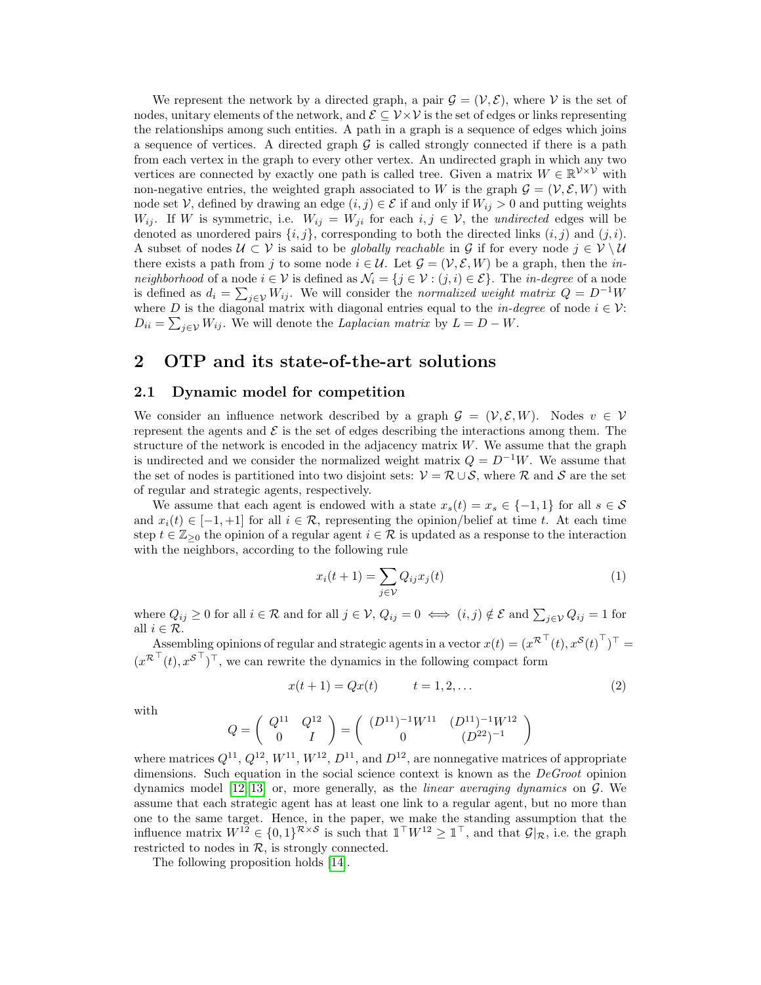We represent the network by a directed graph, a pair  $\mathcal{G} = (\mathcal{V}, \mathcal{E})$ , where  $\mathcal{V}$  is the set of nodes, unitary elements of the network, and  $\mathcal{E} \subseteq \mathcal{V} \times \mathcal{V}$  is the set of edges or links representing the relationships among such entities. A path in a graph is a sequence of edges which joins a sequence of vertices. A directed graph  $\mathcal G$  is called strongly connected if there is a path from each vertex in the graph to every other vertex. An undirected graph in which any two vertices are connected by exactly one path is called tree. Given a matrix  $W \in \mathbb{R}^{\mathcal{V} \times \mathcal{V}}$  with non-negative entries, the weighted graph associated to W is the graph  $\mathcal{G} = (\mathcal{V}, \mathcal{E}, W)$  with node set V, defined by drawing an edge  $(i, j) \in \mathcal{E}$  if and only if  $W_{ij} > 0$  and putting weights  $W_{ij}$ . If W is symmetric, i.e.  $W_{ij} = W_{ji}$  for each  $i, j \in V$ , the undirected edges will be denoted as unordered pairs  $\{i, j\}$ , corresponding to both the directed links  $(i, j)$  and  $(j, i)$ . A subset of nodes  $U \subset V$  is said to be *qlobally reachable* in G if for every node  $j \in V \setminus U$ there exists a path from j to some node  $i \in \mathcal{U}$ . Let  $\mathcal{G} = (\mathcal{V}, \mathcal{E}, W)$  be a graph, then the inneighborhood of a node  $i \in \mathcal{V}$  is defined as  $\mathcal{N}_i = \{j \in \mathcal{V} : (j, i) \in \mathcal{E}\}\.$  The *in-degree* of a node is defined as  $d_i = \sum_{j \in \mathcal{V}} W_{ij}$ . We will consider the normalized weight matrix  $Q = D^{-1}W$ where D is the diagonal matrix with diagonal entries equal to the *in-degree* of node  $i \in \mathcal{V}$ :  $D_{ii} = \sum_{j \in \mathcal{V}} W_{ij}$ . We will denote the Laplacian matrix by  $L = D - W$ .

# <span id="page-2-0"></span>2 OTP and its state-of-the-art solutions

### 2.1 Dynamic model for competition

We consider an influence network described by a graph  $\mathcal{G} = (\mathcal{V}, \mathcal{E}, W)$ . Nodes  $v \in \mathcal{V}$ represent the agents and  $\mathcal E$  is the set of edges describing the interactions among them. The structure of the network is encoded in the adjacency matrix  $W$ . We assume that the graph is undirected and we consider the normalized weight matrix  $Q = D^{-1}W$ . We assume that the set of nodes is partitioned into two disjoint sets:  $\mathcal{V} = \mathcal{R} \cup \mathcal{S}$ , where  $\mathcal{R}$  and  $\mathcal{S}$  are the set of regular and strategic agents, respectively.

We assume that each agent is endowed with a state  $x_s(t) = x_s \in \{-1,1\}$  for all  $s \in \mathcal{S}$ and  $x_i(t) \in [-1, +1]$  for all  $i \in \mathcal{R}$ , representing the opinion/belief at time t. At each time step  $t \in \mathbb{Z}_{\geq 0}$  the opinion of a regular agent  $i \in \mathcal{R}$  is updated as a response to the interaction with the neighbors, according to the following rule

<span id="page-2-1"></span>
$$
x_i(t+1) = \sum_{j \in \mathcal{V}} Q_{ij} x_j(t) \tag{1}
$$

where  $Q_{ij} \ge 0$  for all  $i \in \mathcal{R}$  and for all  $j \in \mathcal{V}$ ,  $Q_{ij} = 0 \iff (i, j) \notin \mathcal{E}$  and  $\sum_{j \in \mathcal{V}} Q_{ij} = 1$  for all  $i \in \mathcal{R}$ .

Assembling opinions of regular and strategic agents in a vector  $x(t) = (x^{\mathcal{R}^\top}(t), x^{\mathcal{S}}(t)^\top)^\top =$  $(x^{\mathcal{R}^{\top}}(t), x^{\mathcal{S}^{\top}})^{\top}$ , we can rewrite the dynamics in the following compact form

$$
x(t+1) = Qx(t) \qquad t = 1, 2, \dots \tag{2}
$$

with

$$
Q=\left(\begin{array}{cc}Q^{11} & Q^{12}\\ 0 & I\end{array}\right)=\left(\begin{array}{cc}(D^{11})^{-1}W^{11} & (D^{11})^{-1}W^{12}\\ 0 & (D^{22})^{-1}\end{array}\right)
$$

where matrices  $Q^{11}$ ,  $Q^{12}$ ,  $W^{11}$ ,  $W^{12}$ ,  $D^{11}$ , and  $D^{12}$ , are nonnegative matrices of appropriate dimensions. Such equation in the social science context is known as the  $DeGroot$  opinion dynamics model [\[12,](#page-18-7) [13\]](#page-18-8) or, more generally, as the *linear averaging dynamics* on  $\mathcal{G}$ . We assume that each strategic agent has at least one link to a regular agent, but no more than one to the same target. Hence, in the paper, we make the standing assumption that the influence matrix  $W^{12} \in \{0,1\}^{\mathcal{R}\times\mathcal{S}}$  is such that  $\mathbb{1}^\top W^{12} \geq \mathbb{1}^\top$ , and that  $\mathcal{G}|_{\mathcal{R}}$ , i.e. the graph restricted to nodes in  $R$ , is strongly connected.

The following proposition holds [\[14\]](#page-18-9).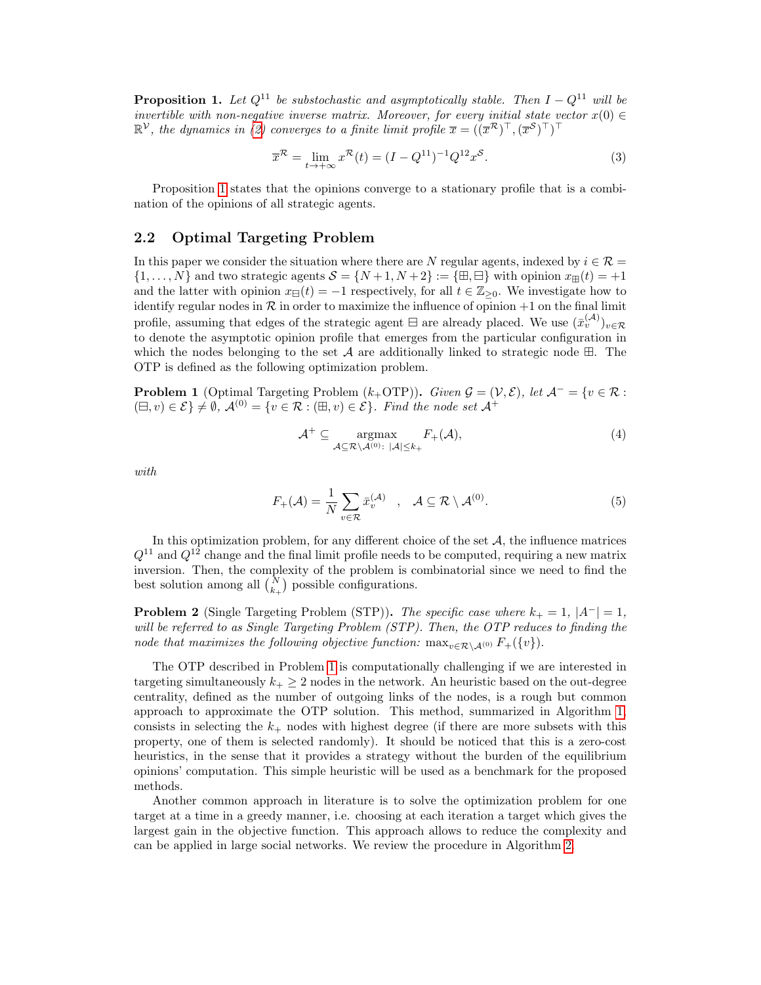<span id="page-3-0"></span>**Proposition 1.** Let  $Q^{11}$  be substochastic and asymptotically stable. Then  $I - Q^{11}$  will be invertible with non-negative inverse matrix. Moreover, for every initial state vector  $x(0) \in$  $\mathbb{R}^{\mathcal{V}}$ , the dynamics in [\(2\)](#page-2-1) converges to a finite limit profile  $\overline{x} = ((\overline{x}^{\mathcal{R}})^{\top}, (\overline{x}^{\mathcal{S}})^{\top})^{\top}$ 

<span id="page-3-3"></span>
$$
\overline{x}^{\mathcal{R}} = \lim_{t \to +\infty} x^{\mathcal{R}}(t) = (I - Q^{11})^{-1} Q^{12} x^{\mathcal{S}}.
$$
\n(3)

Proposition [1](#page-3-0) states that the opinions converge to a stationary profile that is a combination of the opinions of all strategic agents.

#### 2.2 Optimal Targeting Problem

In this paper we consider the situation where there are N regular agents, indexed by  $i \in \mathcal{R} =$  $\{1,\ldots,N\}$  and two strategic agents  $\mathcal{S} = \{N+1,N+2\} := \{\boxplus,\boxminus\}$  with opinion  $x_{\boxplus}(t) = +1$ and the latter with opinion  $x_{\text{F}}(t) = -1$  respectively, for all  $t \in \mathbb{Z}_{\geq 0}$ . We investigate how to identify regular nodes in  $R$  in order to maximize the influence of opinion  $+1$  on the final limit profile, assuming that edges of the strategic agent  $\Xi$  are already placed. We use  $(\bar{x}_v^{(\mathcal{A})})_{v \in \mathcal{R}}$ to denote the asymptotic opinion profile that emerges from the particular configuration in which the nodes belonging to the set  $A$  are additionally linked to strategic node  $\boxplus$ . The OTP is defined as the following optimization problem.

<span id="page-3-1"></span>**Problem 1** (Optimal Targeting Problem  $(k_+\text{OTP})$ ). Given  $\mathcal{G} = (\mathcal{V}, \mathcal{E})$ , let  $\mathcal{A}^- = \{v \in \mathcal{R} :$  $(\Xi, v) \in \mathcal{E} \neq \emptyset$ ,  $\mathcal{A}^{(0)} = \{v \in \mathcal{R} : (\Xi, v) \in \mathcal{E} \}$ . Find the node set  $\mathcal{A}^+$ 

<span id="page-3-2"></span>
$$
\mathcal{A}^+ \subseteq \underset{\mathcal{A} \subseteq \mathcal{R} \setminus \mathcal{A}^{(0)} : |\mathcal{A}| \le k_+}{\operatorname{argmax}} F_+(\mathcal{A}),\tag{4}
$$

with

$$
F_{+}(\mathcal{A}) = \frac{1}{N} \sum_{v \in \mathcal{R}} \bar{x}_{v}^{(\mathcal{A})} , \quad \mathcal{A} \subseteq \mathcal{R} \setminus \mathcal{A}^{(0)}.
$$
 (5)

In this optimization problem, for any different choice of the set  $A$ , the influence matrices  $Q^{11}$  and  $Q^{12}$  change and the final limit profile needs to be computed, requiring a new matrix inversion. Then, the complexity of the problem is combinatorial since we need to find the best solution among all  $\binom{N}{k_+}$  possible configurations.

**Problem 2** (Single Targeting Problem (STP)). The specific case where  $k_{+} = 1$ ,  $|A^{-}| = 1$ , will be referred to as Single Targeting Problem (STP). Then, the OTP reduces to finding the node that maximizes the following objective function:  $\max_{v \in \mathcal{R} \setminus \mathcal{A}^{(0)}} F_+(\{v\}).$ 

The OTP described in Problem [1](#page-3-1) is computationally challenging if we are interested in targeting simultaneously  $k_{+} \geq 2$  nodes in the network. An heuristic based on the out-degree centrality, defined as the number of outgoing links of the nodes, is a rough but common approach to approximate the OTP solution. This method, summarized in Algorithm [1,](#page-4-1) consists in selecting the  $k_{+}$  nodes with highest degree (if there are more subsets with this property, one of them is selected randomly). It should be noticed that this is a zero-cost heuristics, in the sense that it provides a strategy without the burden of the equilibrium opinions' computation. This simple heuristic will be used as a benchmark for the proposed methods.

Another common approach in literature is to solve the optimization problem for one target at a time in a greedy manner, i.e. choosing at each iteration a target which gives the largest gain in the objective function. This approach allows to reduce the complexity and can be applied in large social networks. We review the procedure in Algorithm [2.](#page-4-2)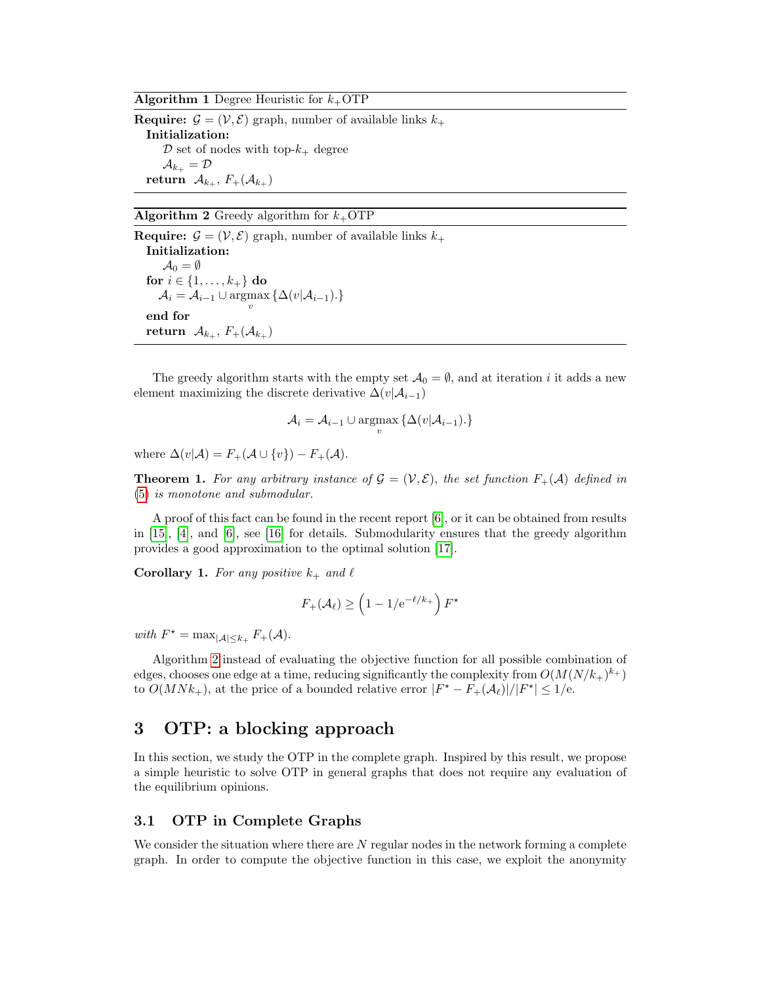<span id="page-4-1"></span>**Algorithm 1 Degree Heuristic for**  $k_+$ **OTP** 

**Require:**  $\mathcal{G} = (\mathcal{V}, \mathcal{E})$  graph, number of available links  $k_{+}$ Initialization:  $\mathcal D$  set of nodes with top- $k_+$  degree  $\mathcal{A}_{k_+} = \mathcal{D}$ return  $\mathcal{A}_{k_+}, F_+(\mathcal{A}_{k_+})$ 

<span id="page-4-2"></span>Algorithm 2 Greedy algorithm for  $k_{+}$ OTP

**Require:**  $\mathcal{G} = (\mathcal{V}, \mathcal{E})$  graph, number of available links  $k_{+}$ Initialization:  $\mathcal{A}_0 = \emptyset$ for  $i \in \{1, \ldots, k_+\}$  do  $\mathcal{A}_i = \mathcal{A}_{i-1} \cup \operatorname*{argmax}_{v} \{ \Delta(v | \mathcal{A}_{i-1}). \}$ end for return  $\mathcal{A}_{k_+}, F_+(\mathcal{A}_{k_+})$ 

The greedy algorithm starts with the empty set  $\mathcal{A}_0 = \emptyset$ , and at iteration *i* it adds a new element maximizing the discrete derivative  $\Delta(v|\mathcal{A}_{i-1})$ 

$$
\mathcal{A}_i = \mathcal{A}_{i-1} \cup \operatorname*{argmax}_{v} \{ \Delta(v | \mathcal{A}_{i-1}). \}
$$

where  $\Delta(v|\mathcal{A}) = F_+(\mathcal{A} \cup \{v\}) - F_+(\mathcal{A}).$ 

**Theorem 1.** For any arbitrary instance of  $\mathcal{G} = (\mathcal{V}, \mathcal{E})$ , the set function  $F_+(\mathcal{A})$  defined in [\(5\)](#page-3-2) is monotone and submodular.

A proof of this fact can be found in the recent report [\[6\]](#page-18-0), or it can be obtained from results in [\[15\]](#page-18-10), [\[4\]](#page-18-11), and [\[6\]](#page-18-0), see [\[16\]](#page-18-12) for details. Submodularity ensures that the greedy algorithm provides a good approximation to the optimal solution [\[17\]](#page-18-13).

**Corollary 1.** For any positive  $k_+$  and  $\ell$ 

$$
F_+(\mathcal{A}_\ell) \ge \left(1 - 1/\mathrm{e}^{-\ell/k_+}\right) F^\star
$$

with  $F^* = \max_{|\mathcal{A}| \leq k_+} F_+(\mathcal{A}).$ 

Algorithm [2](#page-4-2) instead of evaluating the objective function for all possible combination of edges, chooses one edge at a time, reducing significantly the complexity from  $O(M(N/k_+)^{k_+})$ to  $O(MNk_{+})$ , at the price of a bounded relative error  $|F^* - F_+(\mathcal{A}_{\ell})|/|F^*| \leq 1/e$ .

# <span id="page-4-0"></span>3 OTP: a blocking approach

In this section, we study the OTP in the complete graph. Inspired by this result, we propose a simple heuristic to solve OTP in general graphs that does not require any evaluation of the equilibrium opinions.

### <span id="page-4-3"></span>3.1 OTP in Complete Graphs

We consider the situation where there are  $N$  regular nodes in the network forming a complete graph. In order to compute the objective function in this case, we exploit the anonymity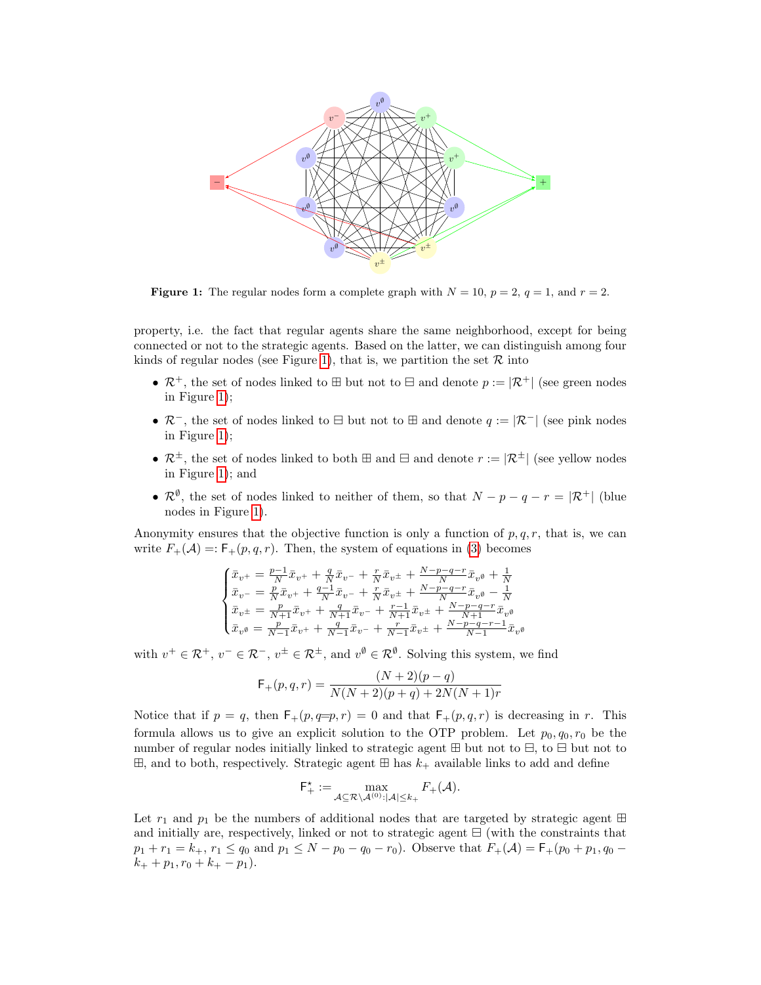<span id="page-5-0"></span>

**Figure 1:** The regular nodes form a complete graph with  $N = 10$ ,  $p = 2$ ,  $q = 1$ , and  $r = 2$ .

property, i.e. the fact that regular agents share the same neighborhood, except for being connected or not to the strategic agents. Based on the latter, we can distinguish among four kinds of regular nodes (see Figure [1\)](#page-5-0), that is, we partition the set  $\mathcal R$  into

- $\mathcal{R}^+$ , the set of nodes linked to  $\boxplus$  but not to  $\boxminus$  and denote  $p := |\mathcal{R}^+|$  (see green nodes in Figure [1\)](#page-5-0);
- $\mathcal{R}^-$ , the set of nodes linked to  $\boxminus$  but not to  $\boxplus$  and denote  $q := |\mathcal{R}^-|$  (see pink nodes in Figure [1\)](#page-5-0);
- $\mathcal{R}^{\pm}$ , the set of nodes linked to both  $\boxplus$  and  $\boxminus$  and denote  $r := |\mathcal{R}^{\pm}|$  (see yellow nodes in Figure [1\)](#page-5-0); and
- $\mathcal{R}^{\emptyset}$ , the set of nodes linked to neither of them, so that  $N p q r = |\mathcal{R}^+|$  (blue nodes in Figure [1\)](#page-5-0).

Anonymity ensures that the objective function is only a function of  $p, q, r$ , that is, we can write  $F_+(\mathcal{A}) = F_+(p,q,r)$ . Then, the system of equations in [\(3\)](#page-3-3) becomes

$$
\begin{cases} \bar{x}_{v^+} = \frac{p-1}{N} \bar{x}_{v^+} + \frac{q}{N} \bar{x}_{v^-} + \frac{r}{N} \bar{x}_{v^\pm} + \frac{N-p-q-r}{N} \bar{x}_{v^\theta} + \frac{1}{N} \\ \bar{x}_{v^-} = \frac{p}{N} \bar{x}_{v^+} + \frac{q-1}{N} \bar{x}_{v^-} + \frac{r}{N} \bar{x}_{v^\pm} + \frac{N-p-q-r}{N} \bar{x}_{v^\theta} - \frac{1}{N} \\ \bar{x}_{v^\pm} = \frac{p}{N+1} \bar{x}_{v^+} + \frac{q}{N+1} \bar{x}_{v^-} + \frac{r-1}{N+1} \bar{x}_{v^\pm} + \frac{N-p-q-r}{N+1} \bar{x}_{v^\theta} \\ \bar{x}_{v^\theta} = \frac{p}{N-1} \bar{x}_{v^+} + \frac{q}{N-1} \bar{x}_{v^-} + \frac{r}{N-1} \bar{x}_{v^\pm} + \frac{N-p-q-r-1}{N-1} \bar{x}_{v^\theta} \end{cases}
$$

with  $v^+ \in \mathcal{R}^+$ ,  $v^- \in \mathcal{R}^-$ ,  $v^{\pm} \in \mathcal{R}^{\pm}$ , and  $v^{\emptyset} \in \mathcal{R}^{\emptyset}$ . Solving this system, we find

$$
F_{+}(p,q,r) = \frac{(N+2)(p-q)}{N(N+2)(p+q)+2N(N+1)r}
$$

Notice that if  $p = q$ , then  $F_+(p, q=p, r) = 0$  and that  $F_+(p, q, r)$  is decreasing in r. This formula allows us to give an explicit solution to the OTP problem. Let  $p_0, q_0, r_0$  be the number of regular nodes initially linked to strategic agent  $\boxplus$  but not to  $\boxminus$ , to  $\boxminus$  but not to  $\boxplus$ , and to both, respectively. Strategic agent  $\boxplus$  has  $k_+$  available links to add and define

$$
\mathsf{F}^\star_+:=\max_{\mathcal{A}\subseteq \mathcal{R}\backslash \mathcal{A}^{(0)}:|\mathcal{A}|\leq k_+}F_+(\mathcal{A}).
$$

Let  $r_1$  and  $p_1$  be the numbers of additional nodes that are targeted by strategic agent  $\boxplus$ and initially are, respectively, linked or not to strategic agent  $\boxminus$  (with the constraints that  $p_1 + r_1 = k_+, r_1 \le q_0$  and  $p_1 \le N - p_0 - q_0 - r_0$ . Observe that  $F_+(\mathcal{A}) = F_+(p_0 + p_1, q_0 - r_0)$  $k_+ + p_1, r_0 + k_+ - p_1$ .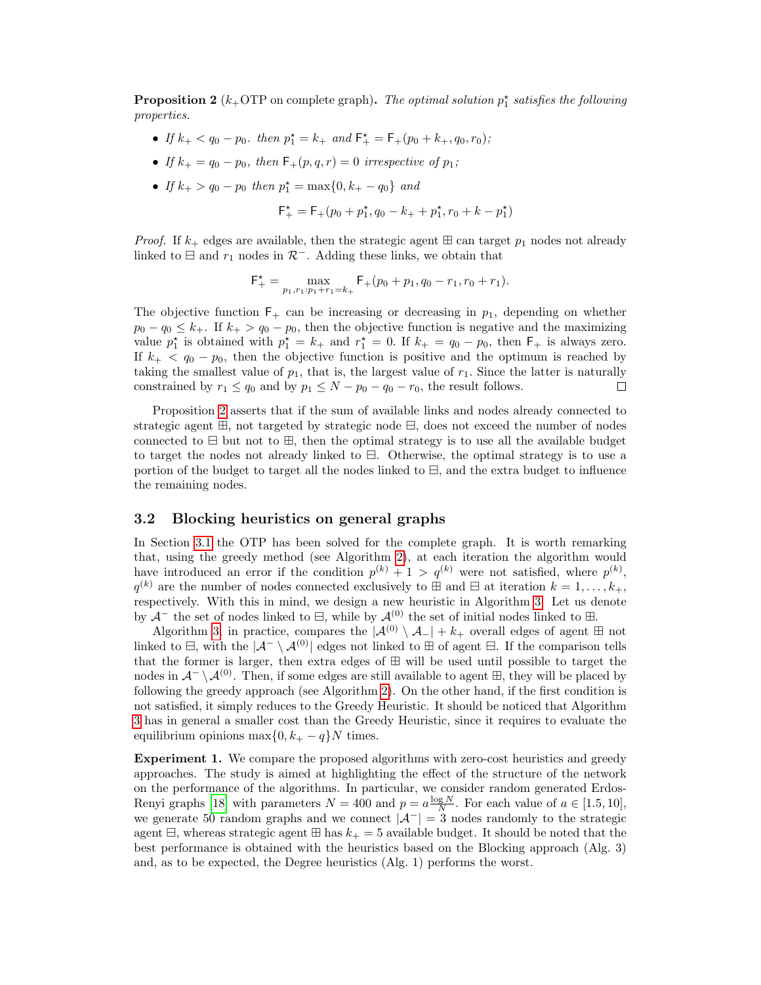<span id="page-6-0"></span>**Proposition 2** ( $k_+$ OTP on complete graph). The optimal solution  $p_1^*$  satisfies the following properties.

- If  $k_+ < q_0 p_0$ . then  $p_1^* = k_+$  and  $F_+^* = F_+(p_0 + k_+, q_0, r_0)$ ;
- If  $k_+ = q_0 p_0$ , then  $F_+(p,q,r) = 0$  irrespective of  $p_1$ ;
- If  $k_+ > q_0 p_0$  then  $p_1^* = \max\{0, k_+ q_0\}$  and

$$
\mathsf{F}^\star_+ = \mathsf{F}_+(p_0 + p_1^\star, q_0 - k_+ + p_1^\star, r_0 + k - p_1^\star)
$$

*Proof.* If  $k_{+}$  edges are available, then the strategic agent  $\boxplus$  can target  $p_1$  nodes not already linked to  $\boxminus$  and  $r_1$  nodes in  $\mathcal{R}^-$ . Adding these links, we obtain that

$$
\mathsf{F}^\star_+=\max_{p_1,r_1:p_1+r_1=k_+}\mathsf{F}_+(p_0+p_1,q_0-r_1,r_0+r_1).
$$

The objective function  $F_+$  can be increasing or decreasing in  $p_1$ , depending on whether  $p_0 - q_0 \leq k_+$ . If  $k_+ > q_0 - p_0$ , then the objective function is negative and the maximizing value  $p_1^*$  is obtained with  $p_1^* = k_+$  and  $r_1^* = 0$ . If  $k_+ = q_0 - p_0$ , then  $\mathsf{F}_+$  is always zero. If  $k_{+} < q_0 - p_0$ , then the objective function is positive and the optimum is reached by taking the smallest value of  $p_1$ , that is, the largest value of  $r_1$ . Since the latter is naturally constrained by  $r_1 \leq q_0$  and by  $p_1 \leq N - p_0 - q_0 - r_0$ , the result follows. □

Proposition [2](#page-6-0) asserts that if the sum of available links and nodes already connected to strategic agent  $\mathbb{H}$ , not targeted by strategic node  $\Xi$ , does not exceed the number of nodes connected to  $\boxminus$  but not to  $\boxplus$ , then the optimal strategy is to use all the available budget to target the nodes not already linked to  $\Xi$ . Otherwise, the optimal strategy is to use a portion of the budget to target all the nodes linked to  $\Xi$ , and the extra budget to influence the remaining nodes.

#### 3.2 Blocking heuristics on general graphs

In Section [3.1](#page-4-3) the OTP has been solved for the complete graph. It is worth remarking that, using the greedy method (see Algorithm [2\)](#page-4-2), at each iteration the algorithm would have introduced an error if the condition  $p^{(k)} + 1 > q^{(k)}$  were not satisfied, where  $p^{(k)}$ ,  $q^{(k)}$  are the number of nodes connected exclusively to  $\boxplus$  and  $\boxminus$  at iteration  $k = 1, \ldots, k_{+},$ respectively. With this in mind, we design a new heuristic in Algorithm [3.](#page-7-1) Let us denote by  $\mathcal{A}^-$  the set of nodes linked to  $\boxminus$ , while by  $\mathcal{A}^{(0)}$  the set of initial nodes linked to  $\boxplus$ .

Algorithm [3,](#page-7-1) in practice, compares the  $|\mathcal{A}^{(0)} \setminus \mathcal{A}_-| + k_+$  overall edges of agent  $\boxplus$  not linked to  $\Xi$ , with the  $|\mathcal{A}^{-}\setminus \mathcal{A}^{(0)}|$  edges not linked to  $\Xi$  of agent  $\Xi$ . If the comparison tells that the former is larger, then extra edges of  $\boxplus$  will be used until possible to target the nodes in  $\mathcal{A}^{-}\setminus\mathcal{A}^{(0)}$ . Then, if some edges are still available to agent  $\mathbb{H}$ , they will be placed by following the greedy approach (see Algorithm [2\)](#page-4-2). On the other hand, if the first condition is not satisfied, it simply reduces to the Greedy Heuristic. It should be noticed that Algorithm [3](#page-7-1) has in general a smaller cost than the Greedy Heuristic, since it requires to evaluate the equilibrium opinions max $\{0, k_{+} - q\}N$  times.

Experiment 1. We compare the proposed algorithms with zero-cost heuristics and greedy approaches. The study is aimed at highlighting the effect of the structure of the network on the performance of the algorithms. In particular, we consider random generated Erdos-Renyi graphs [\[18\]](#page-18-14) with parameters  $N = 400$  and  $p = a \frac{\log N}{N}$ . For each value of  $a \in [1.5, 10]$ , we generate 50 random graphs and we connect  $|\mathcal{A}^{-}| = 3$  nodes randomly to the strategic agent  $\Xi$ , whereas strategic agent  $\Xi$  has  $k_+ = 5$  available budget. It should be noted that the best performance is obtained with the heuristics based on the Blocking approach (Alg. 3) and, as to be expected, the Degree heuristics (Alg. 1) performs the worst.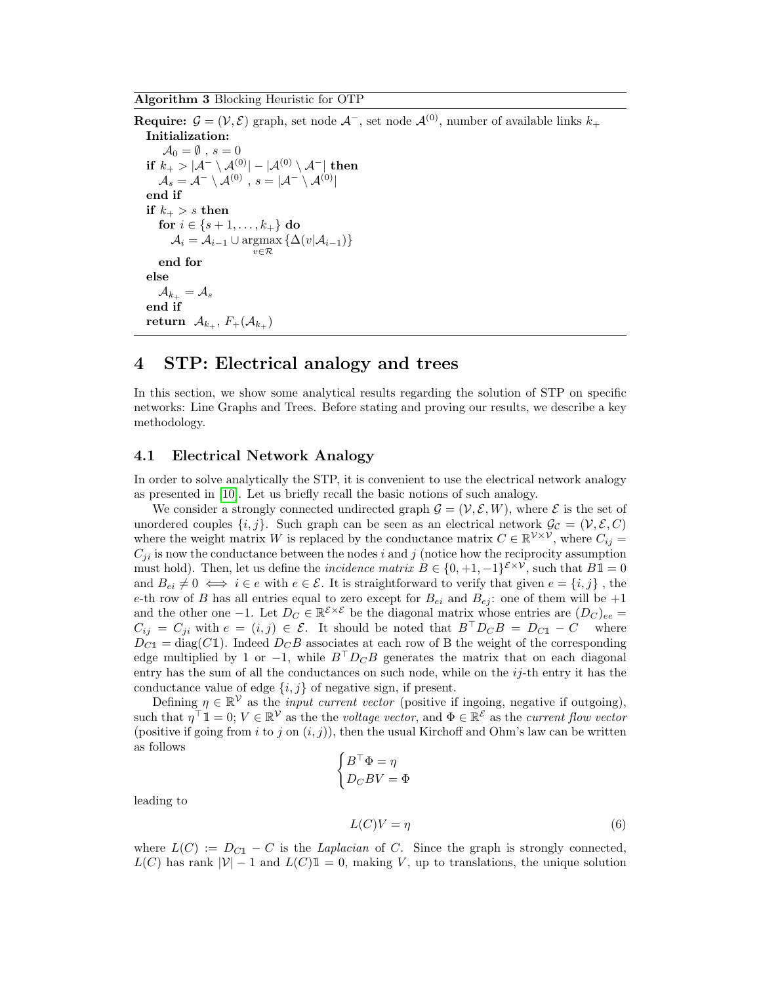<span id="page-7-1"></span>Algorithm 3 Blocking Heuristic for OTP

**Require:**  $\mathcal{G} = (\mathcal{V}, \mathcal{E})$  graph, set node  $\mathcal{A}^-$ , set node  $\mathcal{A}^{(0)}$ , number of available links  $k_+$ Initialization:  $\mathcal{A}_0 = \emptyset$ ,  $s = 0$ if  $k_+ > |\mathcal{A}^- \setminus \mathcal{A}^{(0)}| - |\mathcal{A}^{(0)} \setminus \mathcal{A}^-|$  then  $\mathcal{A}_s=\mathcal{A}^-\setminus \mathcal{A}^{(0)}\,\,,\,s=|\mathcal{A}^-\setminus \mathcal{A}^{(0)}|$ end if if  $k_+ > s$  then for  $i \in \{s+1, \ldots, k_+\}$  do  $\mathcal{A}_i = \mathcal{A}_{i-1} \cup \operatornamewithlimits{argmax}_{v \in \mathcal{R}} \left\{ \Delta(v | \mathcal{A}_{i-1}) \right\}$ end for else  $\mathcal{A}_{k_+} = \mathcal{A}_s$ end if return  $\mathcal{A}_{k_+}, F_+(\mathcal{A}_{k_+})$ 

### <span id="page-7-0"></span>4 STP: Electrical analogy and trees

In this section, we show some analytical results regarding the solution of STP on specific networks: Line Graphs and Trees. Before stating and proving our results, we describe a key methodology.

#### 4.1 Electrical Network Analogy

In order to solve analytically the STP, it is convenient to use the electrical network analogy as presented in [\[10\]](#page-18-5). Let us briefly recall the basic notions of such analogy.

We consider a strongly connected undirected graph  $\mathcal{G} = (\mathcal{V}, \mathcal{E}, W)$ , where  $\mathcal{E}$  is the set of unordered couples  $\{i, j\}$ . Such graph can be seen as an electrical network  $\mathcal{G}_{\mathcal{C}} = (\mathcal{V}, \mathcal{E}, C)$ where the weight matrix W is replaced by the conductance matrix  $C \in \mathbb{R}^{\mathcal{V} \times \mathcal{V}}$ , where  $C_{ij} =$  $C_{ji}$  is now the conductance between the nodes i and j (notice how the reciprocity assumption must hold). Then, let us define the *incidence matrix*  $B \in \{0, +1, -1\}^{\mathcal{E} \times \mathcal{V}}$ , such that  $B\mathbb{1} = 0$ and  $B_{ei} \neq 0 \iff i \in e$  with  $e \in \mathcal{E}$ . It is straightforward to verify that given  $e = \{i, j\}$ , the e-th row of B has all entries equal to zero except for  $B_{ei}$  and  $B_{ej}$ : one of them will be  $+1$ and the other one -1. Let  $D_C \in \mathbb{R}^{\mathcal{E} \times \mathcal{E}}$  be the diagonal matrix whose entries are  $(D_C)_{ee}$  =  $C_{ij} = C_{ji}$  with  $e = (i, j) \in \mathcal{E}$ . It should be noted that  $B^{\top}D_C B = D_{C1} - C$  where  $D_{C1} = \text{diag}(C1)$ . Indeed  $D_C B$  associates at each row of B the weight of the corresponding edge multiplied by 1 or −1, while  $B^{\top}D_{C}B$  generates the matrix that on each diagonal entry has the sum of all the conductances on such node, while on the  $i_j$ -th entry it has the conductance value of edge  $\{i, j\}$  of negative sign, if present.

Defining  $\eta \in \mathbb{R}^{\mathcal{V}}$  as the *input current vector* (positive if ingoing, negative if outgoing), such that  $\eta^{\top} \mathbb{1} = 0$ ;  $V \in \mathbb{R}^{\mathcal{V}}$  as the the voltage vector, and  $\Phi \in \mathbb{R}^{\mathcal{E}}$  as the current flow vector (positive if going from i to j on  $(i, j)$ ), then the usual Kirchoff and Ohm's law can be written as follows

$$
\begin{cases}\nB^{\top} \Phi = \eta \\
D_C B V = \Phi\n\end{cases}
$$
\n
$$
L(C)V = n
$$
\n(6)

leading to

<span id="page-7-2"></span>
$$
L(C)V = \eta \tag{0}
$$

where  $L(C) := D_{C1} - C$  is the Laplacian of C. Since the graph is strongly connected,  $L(C)$  has rank  $|V| - 1$  and  $L(C)1 = 0$ , making V, up to translations, the unique solution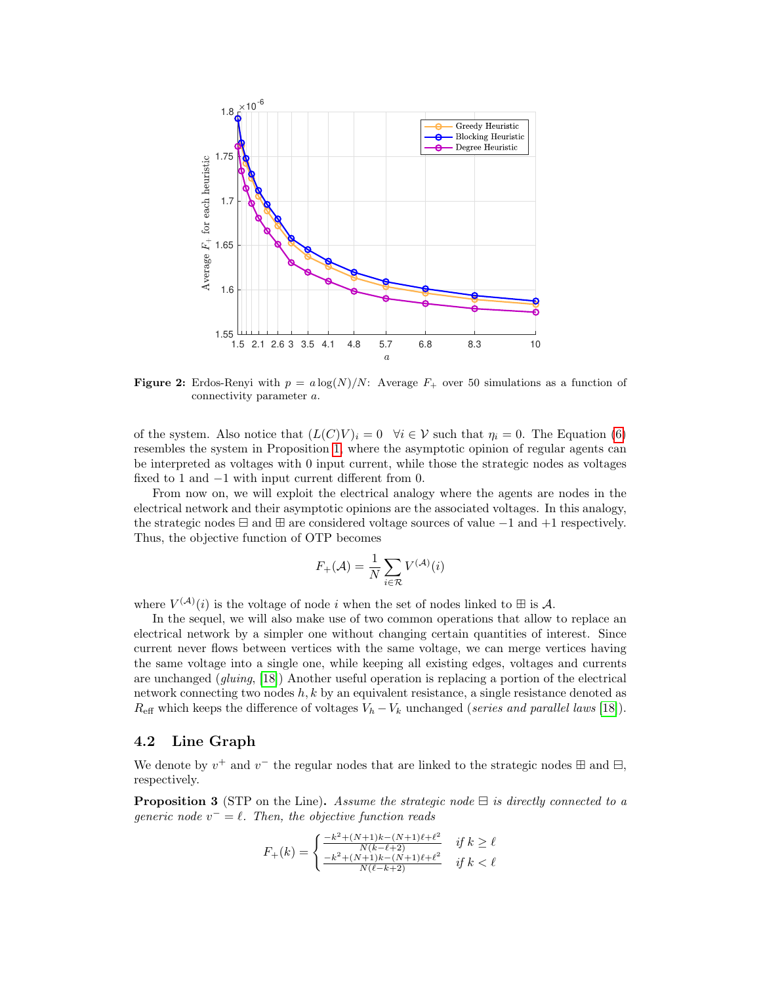

**Figure 2:** Erdos-Renyi with  $p = a \log(N)/N$ : Average  $F_+$  over 50 simulations as a function of connectivity parameter a.

of the system. Also notice that  $(L(C)V)_i = 0 \quad \forall i \in V$  such that  $\eta_i = 0$ . The Equation [\(6\)](#page-7-2) resembles the system in Proposition [1,](#page-3-0) where the asymptotic opinion of regular agents can be interpreted as voltages with 0 input current, while those the strategic nodes as voltages fixed to 1 and −1 with input current different from 0.

From now on, we will exploit the electrical analogy where the agents are nodes in the electrical network and their asymptotic opinions are the associated voltages. In this analogy, the strategic nodes  $\boxminus$  and  $\boxplus$  are considered voltage sources of value  $-1$  and  $+1$  respectively. Thus, the objective function of OTP becomes

$$
F_{+}(\mathcal{A}) = \frac{1}{N} \sum_{i \in \mathcal{R}} V^{(\mathcal{A})}(i)
$$

where  $V^{(\mathcal{A})}(i)$  is the voltage of node i when the set of nodes linked to  $\boxplus$  is A.

In the sequel, we will also make use of two common operations that allow to replace an electrical network by a simpler one without changing certain quantities of interest. Since current never flows between vertices with the same voltage, we can merge vertices having the same voltage into a single one, while keeping all existing edges, voltages and currents are unchanged (gluing, [\[18\]](#page-18-14)) Another useful operation is replacing a portion of the electrical network connecting two nodes  $h, k$  by an equivalent resistance, a single resistance denoted as  $R_{\text{eff}}$  which keeps the difference of voltages  $V_h - V_k$  unchanged (series and parallel laws [\[18\]](#page-18-14)).

#### 4.2 Line Graph

We denote by  $v^+$  and  $v^-$  the regular nodes that are linked to the strategic nodes  $\boxplus$  and  $\boxminus$ , respectively.

<span id="page-8-0"></span>**Proposition 3** (STP on the Line). Assume the strategic node  $\exists$  is directly connected to a generic node  $v^- = \ell$ . Then, the objective function reads

$$
F_{+}(k) = \begin{cases} \frac{-k^{2} + (N+1)k - (N+1)\ell + \ell^{2}}{N(k - \ell + 2)} & \text{if } k \ge \ell\\ \frac{-k^{2} + (N+1)k - (N+1)\ell + \ell^{2}}{N(\ell - k + 2)} & \text{if } k < \ell \end{cases}
$$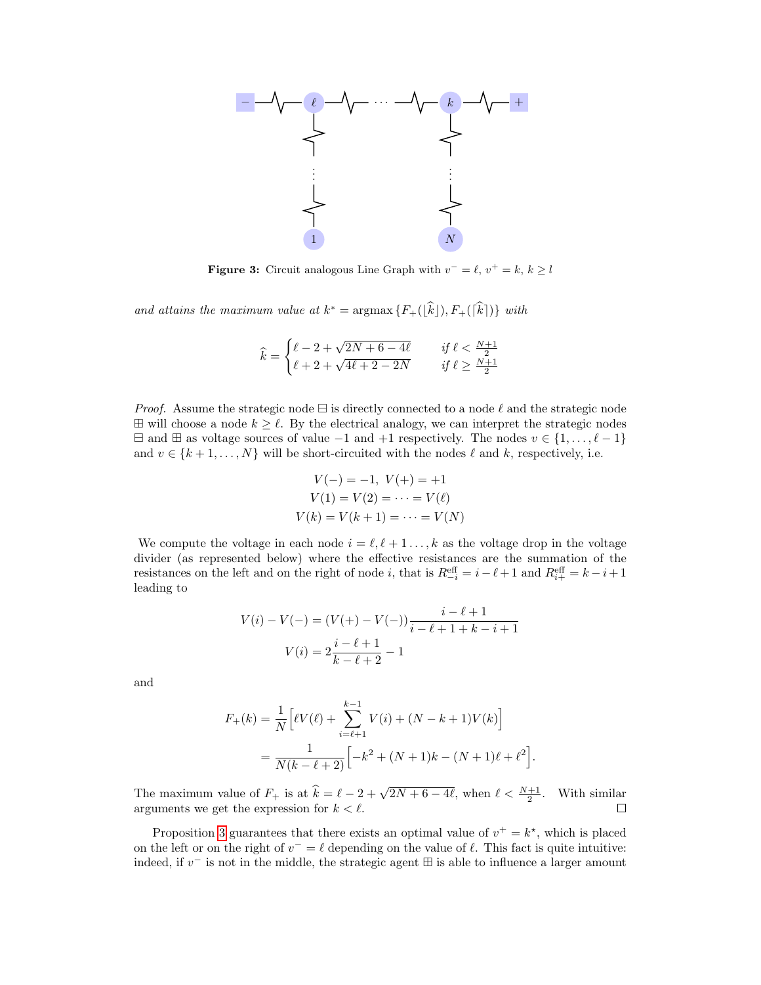

**Figure 3:** Circuit analogous Line Graph with  $v^- = \ell, v^+ = k, k \geq l$ 

and attains the maximum value at  $k^* = \operatorname{argmax} \{ F_+([\hat{k}]), F_+([\hat{k}]) \}$  with

$$
\widehat{k} = \begin{cases} \ell - 2 + \sqrt{2N + 6 - 4\ell} & \text{if } \ell < \frac{N+1}{2} \\ \ell + 2 + \sqrt{4\ell + 2 - 2N} & \text{if } \ell \ge \frac{N+1}{2} \end{cases}
$$

*Proof.* Assume the strategic node  $\Xi$  is directly connected to a node  $\ell$  and the strategic node  $\boxplus$  will choose a node  $k \geq \ell$ . By the electrical analogy, we can interpret the strategic nodes  $\Box$  and  $\Box$  as voltage sources of value −1 and +1 respectively. The nodes  $v \in \{1, \ldots, \ell - 1\}$ and  $v \in \{k+1,\ldots,N\}$  will be short-circuited with the nodes  $\ell$  and k, respectively, i.e.

$$
V(-) = -1, V(+) = +1
$$
  
\n
$$
V(1) = V(2) = \dots = V(\ell)
$$
  
\n
$$
V(k) = V(k+1) = \dots = V(N)
$$

We compute the voltage in each node  $i = \ell, \ell + 1, \ldots, k$  as the voltage drop in the voltage divider (as represented below) where the effective resistances are the summation of the resistances on the left and on the right of node i, that is  $R_{-i}^{\text{eff}} = i - \ell + 1$  and  $R_{i+}^{\text{eff}} = k - i + 1$ leading to

$$
V(i) - V(-) = (V(+) - V(-)) \frac{i - \ell + 1}{i - \ell + 1 + k - i + 1}
$$

$$
V(i) = 2 \frac{i - \ell + 1}{k - \ell + 2} - 1
$$

and

$$
F_{+}(k) = \frac{1}{N} \left[ \ell V(\ell) + \sum_{i=\ell+1}^{k-1} V(i) + (N - k + 1)V(k) \right]
$$
  
= 
$$
\frac{1}{N(k - \ell + 2)} \left[ -k^{2} + (N + 1)k - (N + 1)\ell + \ell^{2} \right]
$$

.

The maximum value of  $F_+$  is at  $\hat{k} = \ell - 2 + \sqrt{2N + 6 - 4\ell}$ , when  $\ell < \frac{N+1}{2}$ . With similar arguments we get the expression for  $k < \ell$ .  $\Box$ 

Proposition [3](#page-8-0) guarantees that there exists an optimal value of  $v^+ = k^*$ , which is placed on the left or on the right of  $v^- = \ell$  depending on the value of  $\ell$ . This fact is quite intuitive: indeed, if  $v^-$  is not in the middle, the strategic agent  $\boxplus$  is able to influence a larger amount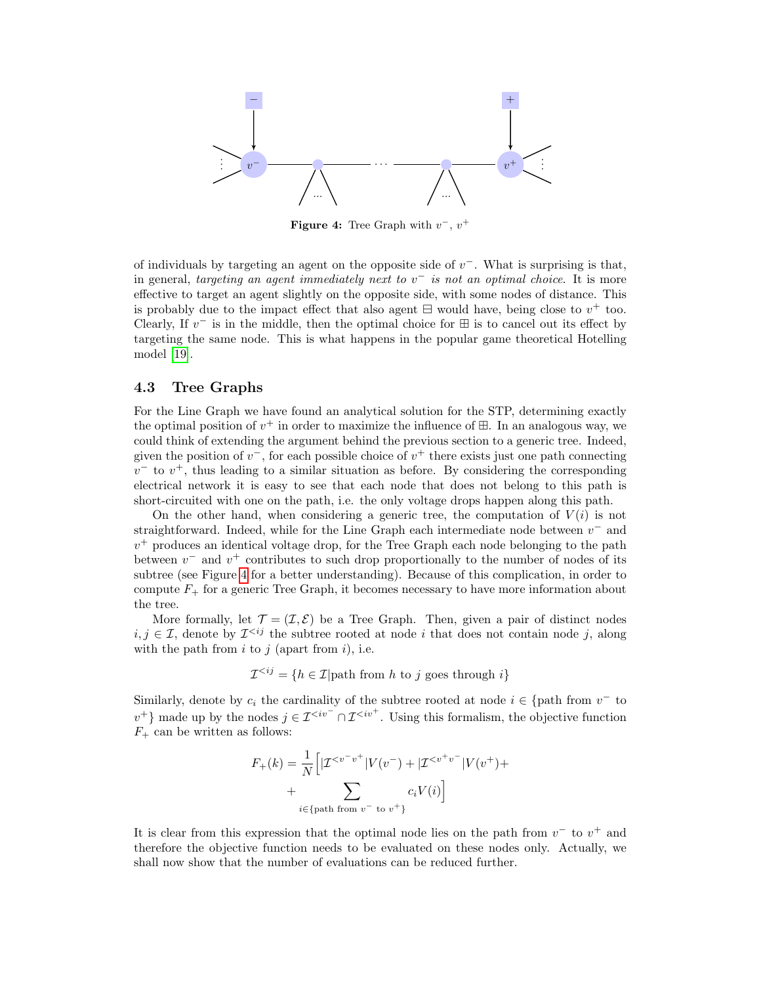<span id="page-10-0"></span>

**Figure 4:** Tree Graph with  $v^-, v^+$ 

of individuals by targeting an agent on the opposite side of  $v^-$ . What is surprising is that, in general, targeting an agent immediately next to  $v^-$  is not an optimal choice. It is more effective to target an agent slightly on the opposite side, with some nodes of distance. This is probably due to the impact effect that also agent  $\exists$  would have, being close to  $v^+$  too. Clearly, If  $v^-$  is in the middle, then the optimal choice for  $\boxplus$  is to cancel out its effect by targeting the same node. This is what happens in the popular game theoretical Hotelling model [\[19\]](#page-18-15).

#### 4.3 Tree Graphs

For the Line Graph we have found an analytical solution for the STP, determining exactly the optimal position of  $v^+$  in order to maximize the influence of  $\boxplus$ . In an analogous way, we could think of extending the argument behind the previous section to a generic tree. Indeed, given the position of  $v^-$ , for each possible choice of  $v^+$  there exists just one path connecting  $v^{-}$  to  $v^{+}$ , thus leading to a similar situation as before. By considering the corresponding electrical network it is easy to see that each node that does not belong to this path is short-circuited with one on the path, i.e. the only voltage drops happen along this path.

On the other hand, when considering a generic tree, the computation of  $V(i)$  is not straightforward. Indeed, while for the Line Graph each intermediate node between  $v^-$  and  $v^{+}$  produces an identical voltage drop, for the Tree Graph each node belonging to the path between  $v^{-}$  and  $v^{+}$  contributes to such drop proportionally to the number of nodes of its subtree (see Figure [4](#page-10-0) for a better understanding). Because of this complication, in order to compute  $F_{+}$  for a generic Tree Graph, it becomes necessary to have more information about the tree.

More formally, let  $\mathcal{T} = (\mathcal{I}, \mathcal{E})$  be a Tree Graph. Then, given a pair of distinct nodes  $i, j \in \mathcal{I}$ , denote by  $\mathcal{I}^{< ij}$  the subtree rooted at node i that does not contain node j, along with the path from  $i$  to  $j$  (apart from  $i$ ), i.e.

 $\mathcal{I}^{\leq ij} = \{h \in \mathcal{I} | \text{path from } h \text{ to } j \text{ goes through } i\}$ 

Similarly, denote by  $c_i$  the cardinality of the subtree rooted at node  $i \in \{ \text{path from } v^- \text{ to } \}$ v<sup>+</sup>} made up by the nodes  $j \in \mathcal{I}^{\leq iv^{-}} \cap \mathcal{I}^{\leq iv^{+}}$ . Using this formalism, the objective function  $F_+$  can be written as follows:

$$
F_{+}(k) = \frac{1}{N} \Big[ |{\mathcal{I}}^{< v^{-}v^{+}}|V(v^{-}) + |{\mathcal{I}}^{< v^{+}v^{-}}|V(v^{+}) + \sum_{i \in \{\text{path from } v^{-} \text{ to } v^{+}\}} c_{i}V(i) \Big]
$$

It is clear from this expression that the optimal node lies on the path from  $v^-$  to  $v^+$  and therefore the objective function needs to be evaluated on these nodes only. Actually, we shall now show that the number of evaluations can be reduced further.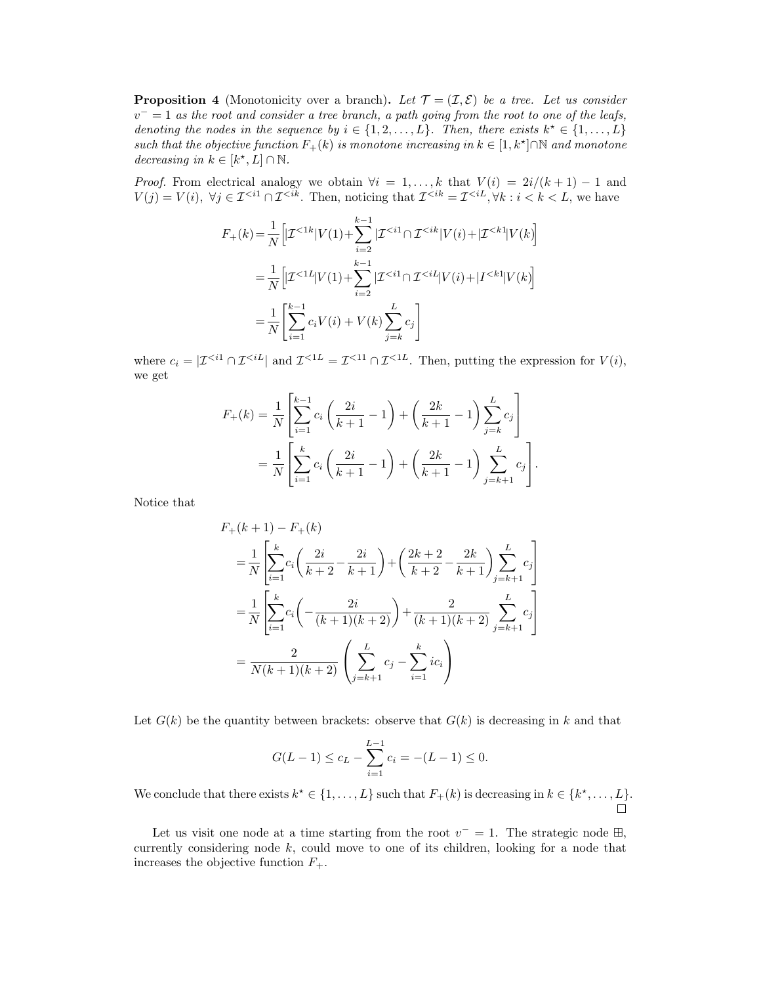<span id="page-11-0"></span>**Proposition 4** (Monotonicity over a branch). Let  $\mathcal{T} = (\mathcal{I}, \mathcal{E})$  be a tree. Let us consider  $v^- = 1$  as the root and consider a tree branch, a path going from the root to one of the leafs, denoting the nodes in the sequence by  $i \in \{1, 2, ..., L\}$ . Then, there exists  $k^* \in \{1, ..., L\}$ such that the objective function  $F_+(k)$  is monotone increasing in  $k \in [1, k^*] \cap \mathbb{N}$  and monotone decreasing in  $k \in [k^*, L] \cap \mathbb{N}$ .

*Proof.* From electrical analogy we obtain  $\forall i = 1, ..., k$  that  $V(i) = 2i/(k+1) - 1$  and  $V(j) = V(i)$ ,  $\forall j \in \mathcal{I}^{&i} \cap \mathcal{I}^{&i}$ . Then, noticing that  $\mathcal{I}^{&i} = \mathcal{I}^{&i}$ ,  $\forall k : i < k < L$ , we have

$$
F_{+}(k) = \frac{1}{N} \left[ \mathcal{I}^{< 1k} | V(1) + \sum_{i=2}^{k-1} | \mathcal{I}^{< i1} \cap \mathcal{I}^{< ik} | V(i) + | \mathcal{I}^{< k1} | V(k) \right]
$$
\n
$$
= \frac{1}{N} \left[ \mathcal{I}^{< 1l} | V(1) + \sum_{i=2}^{k-1} | \mathcal{I}^{< i1} \cap \mathcal{I}^{< il} | V(i) + | I^{< k1} | V(k) \right]
$$
\n
$$
= \frac{1}{N} \left[ \sum_{i=1}^{k-1} c_i V(i) + V(k) \sum_{j=k}^{L} c_j \right]
$$

where  $c_i = |\mathcal{I}^{&i1} \cap \mathcal{I}^{&iL}|$  and  $\mathcal{I}^{&iL} = \mathcal{I}^{&i1} \cap \mathcal{I}^{&iL}$ . Then, putting the expression for  $V(i)$ , we get

$$
F_{+}(k) = \frac{1}{N} \left[ \sum_{i=1}^{k-1} c_{i} \left( \frac{2i}{k+1} - 1 \right) + \left( \frac{2k}{k+1} - 1 \right) \sum_{j=k}^{L} c_{j} \right]
$$
  
= 
$$
\frac{1}{N} \left[ \sum_{i=1}^{k} c_{i} \left( \frac{2i}{k+1} - 1 \right) + \left( \frac{2k}{k+1} - 1 \right) \sum_{j=k+1}^{L} c_{j} \right].
$$

Notice that

$$
F_{+}(k+1) - F_{+}(k)
$$
  
=  $\frac{1}{N} \left[ \sum_{i=1}^{k} c_{i} \left( \frac{2i}{k+2} - \frac{2i}{k+1} \right) + \left( \frac{2k+2}{k+2} - \frac{2k}{k+1} \right) \sum_{j=k+1}^{L} c_{j} \right]$   
=  $\frac{1}{N} \left[ \sum_{i=1}^{k} c_{i} \left( -\frac{2i}{(k+1)(k+2)} \right) + \frac{2}{(k+1)(k+2)} \sum_{j=k+1}^{L} c_{j} \right]$   
=  $\frac{2}{N(k+1)(k+2)} \left( \sum_{j=k+1}^{L} c_{j} - \sum_{i=1}^{k} i c_{i} \right)$ 

Let  $G(k)$  be the quantity between brackets: observe that  $G(k)$  is decreasing in k and that

$$
G(L-1) \le c_L - \sum_{i=1}^{L-1} c_i = -(L-1) \le 0.
$$

We conclude that there exists  $k^* \in \{1, ..., L\}$  such that  $F_+(k)$  is decreasing in  $k \in \{k^*, ..., L\}$ .  $\Box$ 

Let us visit one node at a time starting from the root  $v^- = 1$ . The strategic node  $\boxplus$ , currently considering node  $k$ , could move to one of its children, looking for a node that increases the objective function  $F_+$ .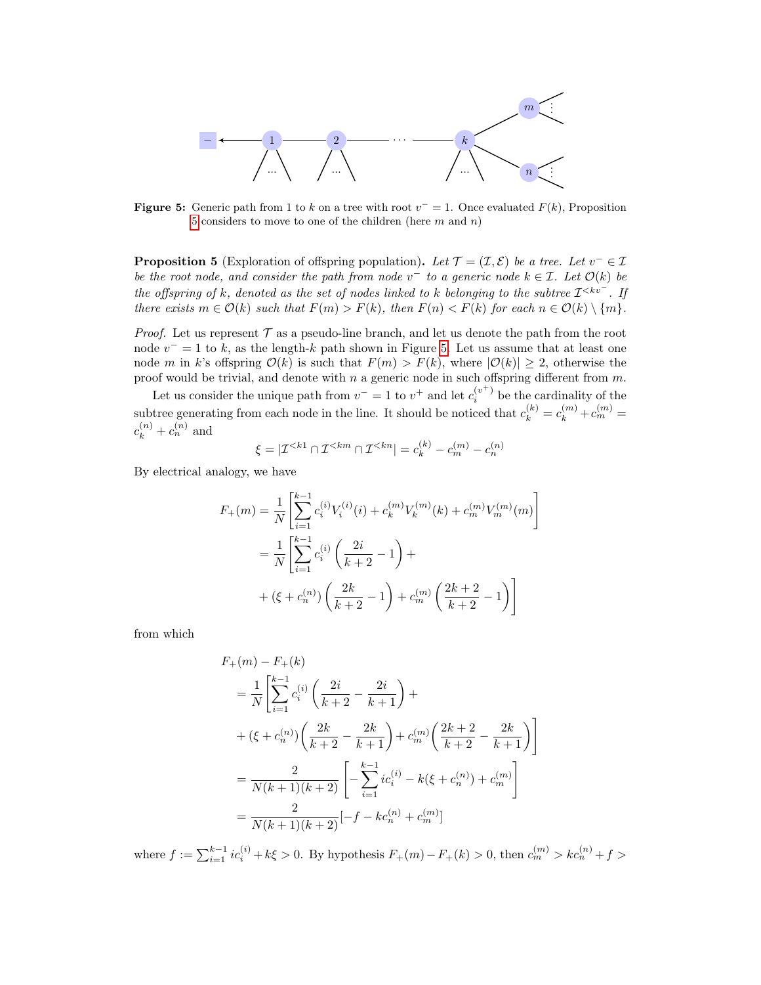<span id="page-12-1"></span>

**Figure 5:** Generic path from 1 to k on a tree with root  $v^- = 1$ . Once evaluated  $F(k)$ , Proposition [5](#page-12-0) considers to move to one of the children (here  $m$  and  $n$ )

<span id="page-12-0"></span>**Proposition 5** (Exploration of offspring population). Let  $\mathcal{T} = (\mathcal{I}, \mathcal{E})$  be a tree. Let  $v^- \in \mathcal{I}$ be the root node, and consider the path from node  $v^-$  to a generic node  $k \in \mathcal{I}$ . Let  $\mathcal{O}(k)$  be the offspring of k, denoted as the set of nodes linked to k belonging to the subtree  $\mathcal{I}^{. If$ there exists  $m \in \mathcal{O}(k)$  such that  $F(m) > F(k)$ , then  $F(n) < F(k)$  for each  $n \in \mathcal{O}(k) \setminus \{m\}$ .

*Proof.* Let us represent  $\mathcal T$  as a pseudo-line branch, and let us denote the path from the root node  $v^- = 1$  to k, as the length-k path shown in Figure [5.](#page-12-1) Let us assume that at least one node m in k's offspring  $\mathcal{O}(k)$  is such that  $F(m) > F(k)$ , where  $|\mathcal{O}(k)| \geq 2$ , otherwise the proof would be trivial, and denote with n a generic node in such offspring different from  $m$ .

Let us consider the unique path from  $v^- = 1$  to  $v^+$  and let  $c_i^{(v^+)}$  be the cardinality of the subtree generating from each node in the line. It should be noticed that  $c_k^{(k)} = c_k^{(m)} + c_m^{(m)} =$  $c_k^{(n)} + c_n^{(n)}$  and

$$
\xi = |\mathcal{I}^{< k1} \cap \mathcal{I}^{< km} \cap \mathcal{I}^{< kn}| = c_k^{(k)} - c_m^{(m)} - c_n^{(n)}
$$

By electrical analogy, we have

$$
F_{+}(m) = \frac{1}{N} \left[ \sum_{i=1}^{k-1} c_{i}^{(i)} V_{i}^{(i)}(i) + c_{k}^{(m)} V_{k}^{(m)}(k) + c_{m}^{(m)} V_{m}^{(m)}(m) \right]
$$
  

$$
= \frac{1}{N} \left[ \sum_{i=1}^{k-1} c_{i}^{(i)} \left( \frac{2i}{k+2} - 1 \right) +
$$
  

$$
+ \left( \xi + c_{n}^{(n)} \right) \left( \frac{2k}{k+2} - 1 \right) + c_{m}^{(m)} \left( \frac{2k+2}{k+2} - 1 \right) \right]
$$

from which

$$
F_{+}(m) - F_{+}(k)
$$
  
=  $\frac{1}{N} \left[ \sum_{i=1}^{k-1} c_i^{(i)} \left( \frac{2i}{k+2} - \frac{2i}{k+1} \right) + \right.$   
+  $(\xi + c_n^{(n)}) \left( \frac{2k}{k+2} - \frac{2k}{k+1} \right) + c_m^{(m)} \left( \frac{2k+2}{k+2} - \frac{2k}{k+1} \right) \right]$   
=  $\frac{2}{N(k+1)(k+2)} \left[ -\sum_{i=1}^{k-1} ic_i^{(i)} - k(\xi + c_n^{(n)}) + c_m^{(m)} \right]$   
=  $\frac{2}{N(k+1)(k+2)} [-f - kc_n^{(n)} + c_m^{(m)}]$ 

where  $f := \sum_{i=1}^{k-1} ic_i^{(i)} + k\xi > 0$ . By hypothesis  $F_+(m) - F_+(k) > 0$ , then  $c_m^{(m)} > kc_n^{(n)} + f > 0$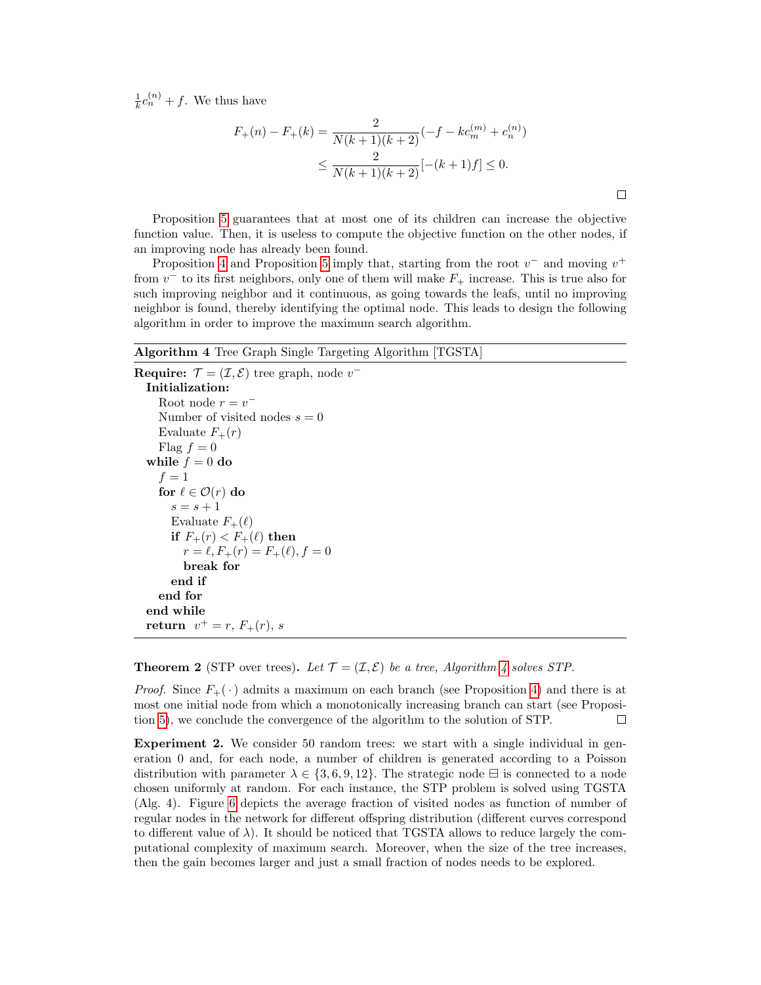$\frac{1}{k}c_n^{(n)} + f$ . We thus have

$$
F_{+}(n) - F_{+}(k) = \frac{2}{N(k+1)(k+2)}(-f - kc_m^{(m)} + c_n^{(n)})
$$
  
 
$$
\leq \frac{2}{N(k+1)(k+2)}[-(k+1)f] \leq 0.
$$

Proposition [5](#page-12-0) guarantees that at most one of its children can increase the objective function value. Then, it is useless to compute the objective function on the other nodes, if an improving node has already been found.

Proposition [4](#page-11-0) and Proposition [5](#page-12-0) imply that, starting from the root  $v^-$  and moving  $v^+$ from  $v^-$  to its first neighbors, only one of them will make  $F_+$  increase. This is true also for such improving neighbor and it continuous, as going towards the leafs, until no improving neighbor is found, thereby identifying the optimal node. This leads to design the following algorithm in order to improve the maximum search algorithm.

#### <span id="page-13-0"></span>Algorithm 4 Tree Graph Single Targeting Algorithm [TGSTA]

```
Require: \mathcal{T} = (\mathcal{I}, \mathcal{E}) tree graph, node v^{-}Initialization:
     Root node r = v^{-}Number of visited nodes s = 0Evaluate F_+(r)Flag f = 0while f = 0 do
     f=1for \ell \in \mathcal{O}(r) do
       s = s + 1Evaluate F_+(\ell)if F_+(r) < F_+(\ell) then
          r = \ell, F_+(r) = F_+(\ell), f = 0break for
       end if
    end for
  end while
  return v^+ = r, F_+(r), s
```
#### **Theorem 2** (STP over trees). Let  $\mathcal{T} = (\mathcal{I}, \mathcal{E})$  be a tree, Algorithm [4](#page-13-0) solves STP.

*Proof.* Since  $F_{+}(\cdot)$  admits a maximum on each branch (see Proposition [4\)](#page-11-0) and there is at most one initial node from which a monotonically increasing branch can start (see Proposition [5\)](#page-12-0), we conclude the convergence of the algorithm to the solution of STP.  $\Box$ 

Experiment 2. We consider 50 random trees: we start with a single individual in generation 0 and, for each node, a number of children is generated according to a Poisson distribution with parameter  $\lambda \in \{3, 6, 9, 12\}$ . The strategic node  $\Xi$  is connected to a node chosen uniformly at random. For each instance, the STP problem is solved using TGSTA (Alg. 4). Figure [6](#page-14-1) depicts the average fraction of visited nodes as function of number of regular nodes in the network for different offspring distribution (different curves correspond to different value of  $\lambda$ ). It should be noticed that TGSTA allows to reduce largely the computational complexity of maximum search. Moreover, when the size of the tree increases, then the gain becomes larger and just a small fraction of nodes needs to be explored.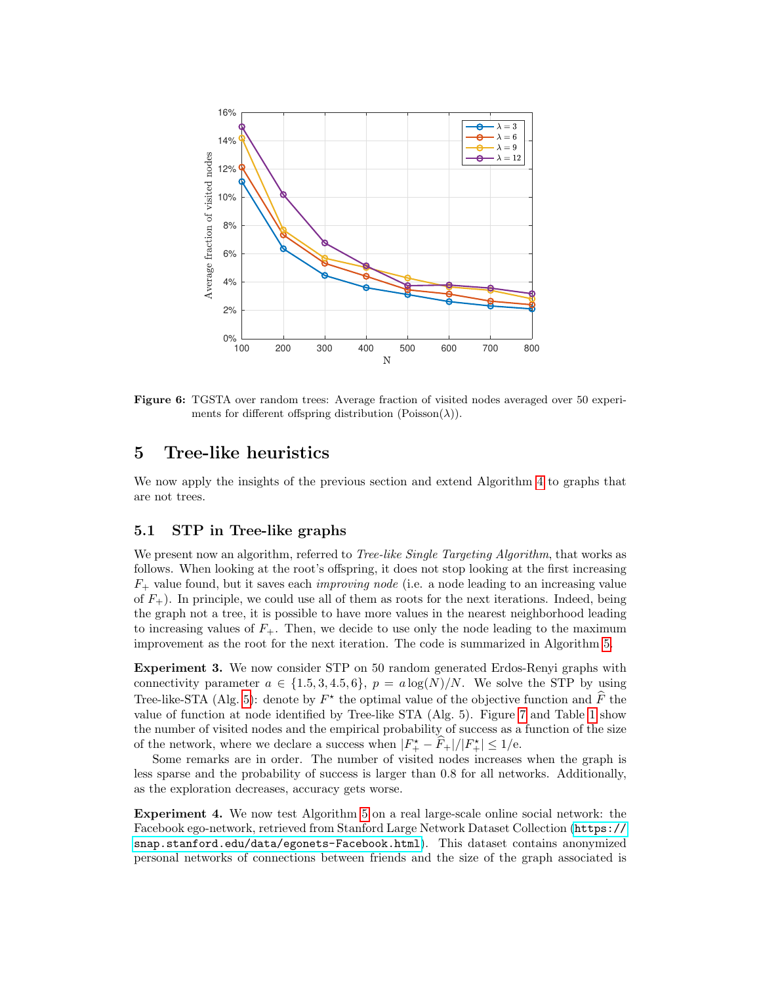<span id="page-14-1"></span>

Figure 6: TGSTA over random trees: Average fraction of visited nodes averaged over 50 experiments for different offspring distribution  $(Poisson(\lambda))$ .

# <span id="page-14-0"></span>5 Tree-like heuristics

We now apply the insights of the previous section and extend Algorithm [4](#page-13-0) to graphs that are not trees.

### 5.1 STP in Tree-like graphs

We present now an algorithm, referred to *Tree-like Single Targeting Algorithm*, that works as follows. When looking at the root's offspring, it does not stop looking at the first increasing  $F_{+}$  value found, but it saves each *improving node* (i.e. a node leading to an increasing value of  $F_{+}$ ). In principle, we could use all of them as roots for the next iterations. Indeed, being the graph not a tree, it is possible to have more values in the nearest neighborhood leading to increasing values of  $F_+$ . Then, we decide to use only the node leading to the maximum improvement as the root for the next iteration. The code is summarized in Algorithm [5.](#page-16-0)

Experiment 3. We now consider STP on 50 random generated Erdos-Renyi graphs with connectivity parameter  $a \in \{1.5, 3, 4.5, 6\}, p = a \log(N)/N$ . We solve the STP by using Tree-like-STA (Alg. [5\)](#page-16-0): denote by  $F^*$  the optimal value of the objective function and  $\tilde{F}$  the value of function at node identified by Tree-like STA (Alg. 5). Figure [7](#page-15-0) and Table [1](#page-15-1) show the number of visited nodes and the empirical probability of success as a function of the size of the network, where we declare a success when  $|F_{+}^{*} - \widehat{F}_{+}|/|F_{+}^{*}| \leq 1/e$ .

Some remarks are in order. The number of visited nodes increases when the graph is less sparse and the probability of success is larger than 0.8 for all networks. Additionally, as the exploration decreases, accuracy gets worse.

Experiment 4. We now test Algorithm [5](#page-16-0) on a real large-scale online social network: the Facebook ego-network, retrieved from Stanford Large Network Dataset Collection ([https://](https://snap.stanford.edu/data/ egonets-Facebook.html) [snap.stanford.edu/data/egonets-Facebook.html](https://snap.stanford.edu/data/ egonets-Facebook.html)). This dataset contains anonymized personal networks of connections between friends and the size of the graph associated is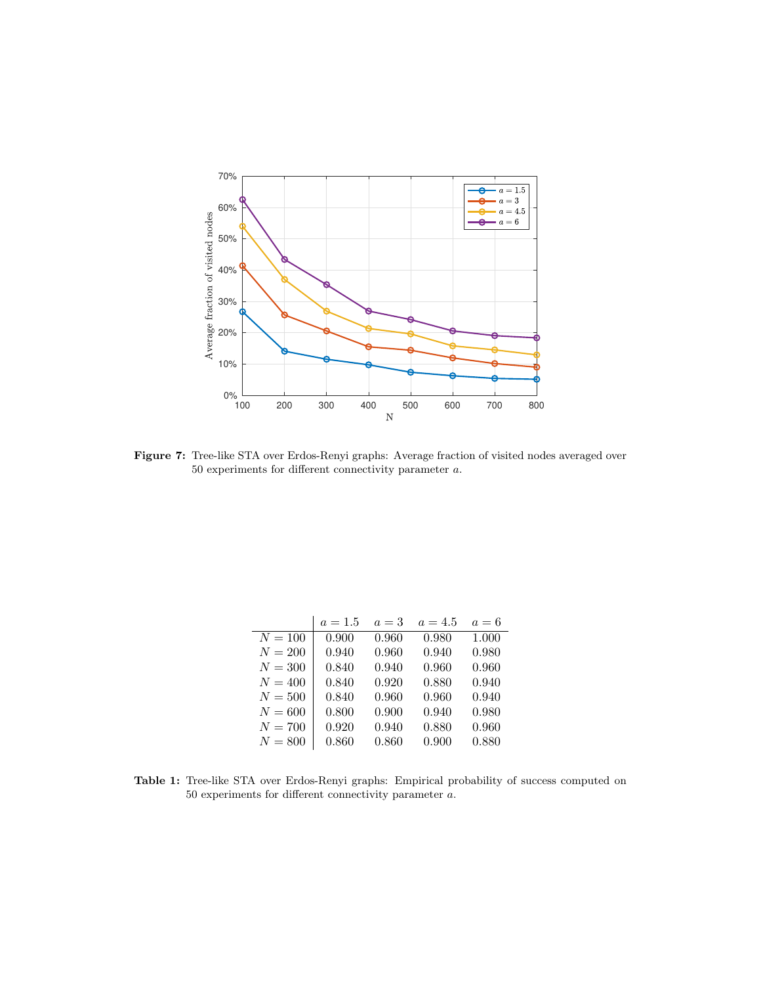<span id="page-15-0"></span>

Figure 7: Tree-like STA over Erdos-Renyi graphs: Average fraction of visited nodes averaged over 50 experiments for different connectivity parameter a.

<span id="page-15-1"></span>

|           | $a = 1.5$ | $a=3$ | $a = 4.5$ | $a=6$ |
|-----------|-----------|-------|-----------|-------|
| $N = 100$ | 0.900     | 0.960 | 0.980     | 1.000 |
| $N = 200$ | 0.940     | 0.960 | 0.940     | 0.980 |
| $N = 300$ | 0.840     | 0.940 | 0.960     | 0.960 |
| $N = 400$ | 0.840     | 0.920 | 0.880     | 0.940 |
| $N=500$   | 0.840     | 0.960 | 0.960     | 0.940 |
| $N=600$   | 0.800     | 0.900 | 0.940     | 0.980 |
| $N = 700$ | 0.920     | 0.940 | 0.880     | 0.960 |
| $N = 800$ | 0.860     | 0.860 | 0.900     | 0.880 |

Table 1: Tree-like STA over Erdos-Renyi graphs: Empirical probability of success computed on 50 experiments for different connectivity parameter a.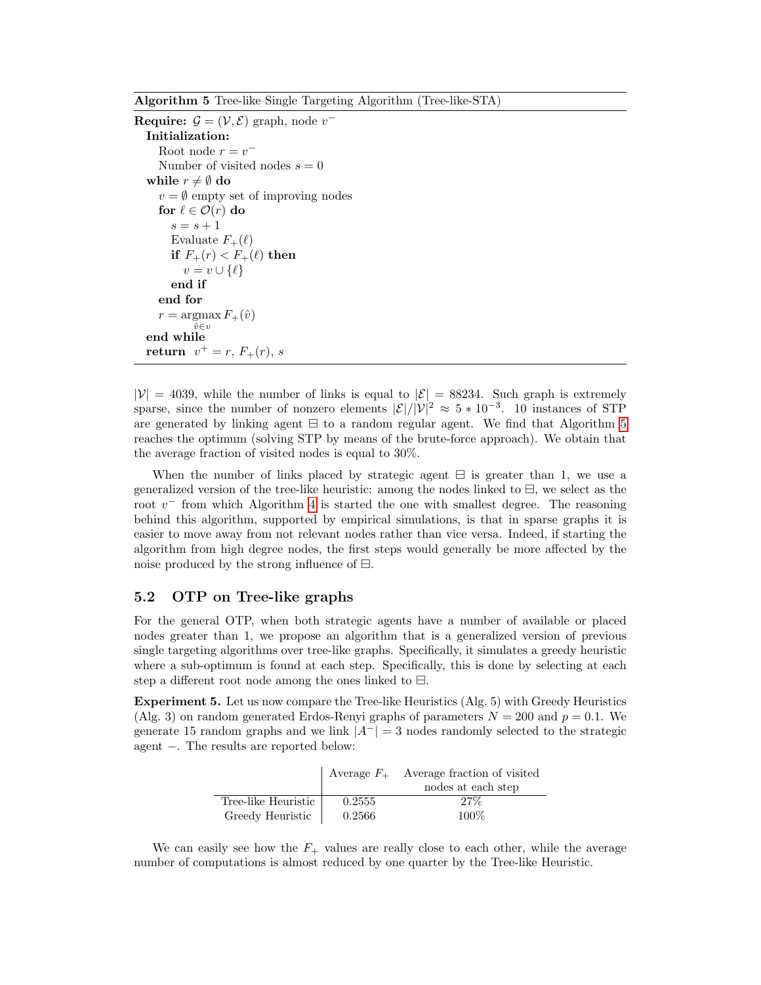<span id="page-16-0"></span>Algorithm 5 Tree-like Single Targeting Algorithm (Tree-like-STA)

```
Require: \mathcal{G} = (\mathcal{V}, \mathcal{E}) graph, node v^{-}Initialization:
      Root node r = v^-Number of visited nodes s = 0while r \neq \emptyset do
     v = \emptyset empty set of improving nodes
     for \ell \in \mathcal{O}(r) do
        s = s + 1Evaluate F_+(\ell)if F_+(r) < F_+(\ell) then
           v = v \cup \{\ell\}end if
     end for
      r = \operatorname{argmax} F_+(\hat{v})\hat{v} \in vend while
   return v^+ = r, F_+(r), s
```
 $|\mathcal{V}| = 4039$ , while the number of links is equal to  $|\mathcal{E}| = 88234$ . Such graph is extremely sparse, since the number of nonzero elements  $|\mathcal{E}|/|\mathcal{V}|^2 \approx 5 * 10^{-3}$ . 10 instances of STP are generated by linking agent  $\boxminus$  to a random regular agent. We find that Algorithm [5](#page-16-0) reaches the optimum (solving STP by means of the brute-force approach). We obtain that the average fraction of visited nodes is equal to 30%.

When the number of links placed by strategic agent  $\Xi$  is greater than 1, we use a generalized version of the tree-like heuristic: among the nodes linked to  $\Xi$ , we select as the root  $v^-$  from which Algorithm [4](#page-13-0) is started the one with smallest degree. The reasoning behind this algorithm, supported by empirical simulations, is that in sparse graphs it is easier to move away from not relevant nodes rather than vice versa. Indeed, if starting the algorithm from high degree nodes, the first steps would generally be more affected by the noise produced by the strong influence of  $\boxminus$ .

### 5.2 OTP on Tree-like graphs

For the general OTP, when both strategic agents have a number of available or placed nodes greater than 1, we propose an algorithm that is a generalized version of previous single targeting algorithms over tree-like graphs. Specifically, it simulates a greedy heuristic where a sub-optimum is found at each step. Specifically, this is done by selecting at each step a different root node among the ones linked to  $\boxminus$ .

Experiment 5. Let us now compare the Tree-like Heuristics (Alg. 5) with Greedy Heuristics (Alg. 3) on random generated Erdos-Renyi graphs of parameters  $N = 200$  and  $p = 0.1$ . We generate 15 random graphs and we link  $|A^{-}| = 3$  nodes randomly selected to the strategic agent −. The results are reported below:

|                     | Average $F_{+}$ | Average fraction of visited |  |
|---------------------|-----------------|-----------------------------|--|
|                     |                 | nodes at each step          |  |
| Tree-like Heuristic | 0.2555          | 27%                         |  |
| Greedy Heuristic    | 0.2566          | 100%                        |  |

We can easily see how the  $F_+$  values are really close to each other, while the average number of computations is almost reduced by one quarter by the Tree-like Heuristic.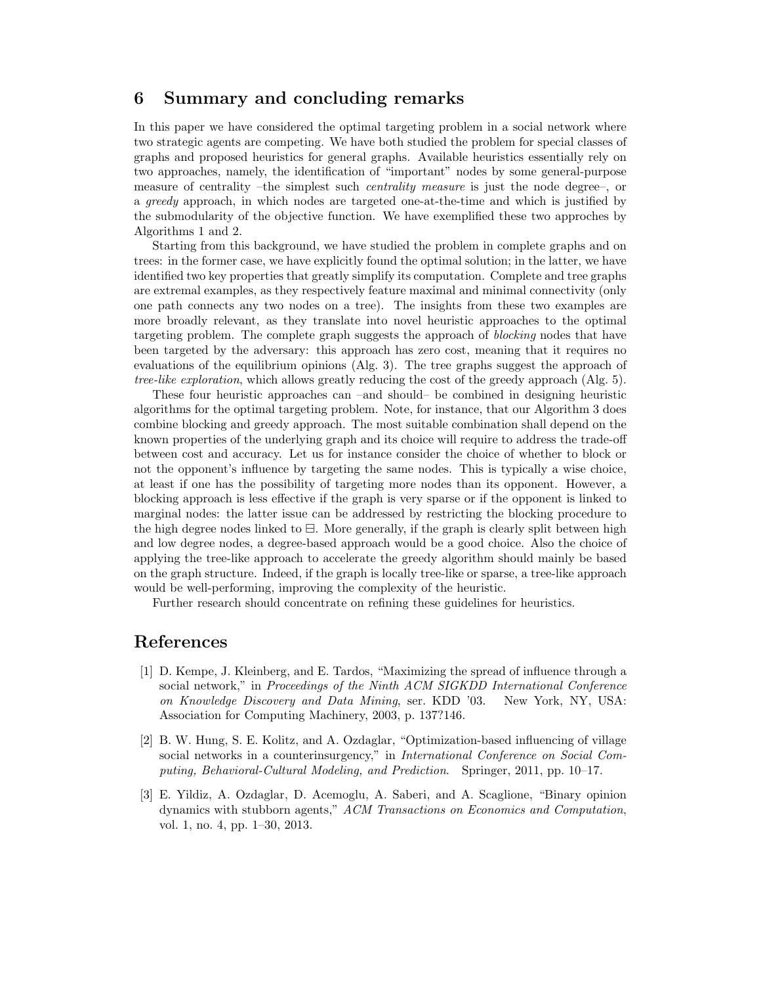# <span id="page-17-2"></span>6 Summary and concluding remarks

In this paper we have considered the optimal targeting problem in a social network where two strategic agents are competing. We have both studied the problem for special classes of graphs and proposed heuristics for general graphs. Available heuristics essentially rely on two approaches, namely, the identification of "important" nodes by some general-purpose measure of centrality –the simplest such centrality measure is just the node degree–, or a greedy approach, in which nodes are targeted one-at-the-time and which is justified by the submodularity of the objective function. We have exemplified these two approches by Algorithms 1 and 2.

Starting from this background, we have studied the problem in complete graphs and on trees: in the former case, we have explicitly found the optimal solution; in the latter, we have identified two key properties that greatly simplify its computation. Complete and tree graphs are extremal examples, as they respectively feature maximal and minimal connectivity (only one path connects any two nodes on a tree). The insights from these two examples are more broadly relevant, as they translate into novel heuristic approaches to the optimal targeting problem. The complete graph suggests the approach of blocking nodes that have been targeted by the adversary: this approach has zero cost, meaning that it requires no evaluations of the equilibrium opinions (Alg. 3). The tree graphs suggest the approach of tree-like exploration, which allows greatly reducing the cost of the greedy approach (Alg. 5).

These four heuristic approaches can –and should– be combined in designing heuristic algorithms for the optimal targeting problem. Note, for instance, that our Algorithm 3 does combine blocking and greedy approach. The most suitable combination shall depend on the known properties of the underlying graph and its choice will require to address the trade-off between cost and accuracy. Let us for instance consider the choice of whether to block or not the opponent's influence by targeting the same nodes. This is typically a wise choice, at least if one has the possibility of targeting more nodes than its opponent. However, a blocking approach is less effective if the graph is very sparse or if the opponent is linked to marginal nodes: the latter issue can be addressed by restricting the blocking procedure to the high degree nodes linked to  $\boxminus$ . More generally, if the graph is clearly split between high and low degree nodes, a degree-based approach would be a good choice. Also the choice of applying the tree-like approach to accelerate the greedy algorithm should mainly be based on the graph structure. Indeed, if the graph is locally tree-like or sparse, a tree-like approach would be well-performing, improving the complexity of the heuristic.

Further research should concentrate on refining these guidelines for heuristics.

# References

- <span id="page-17-0"></span>[1] D. Kempe, J. Kleinberg, and E. Tardos, "Maximizing the spread of influence through a social network," in Proceedings of the Ninth ACM SIGKDD International Conference on Knowledge Discovery and Data Mining, ser. KDD '03. New York, NY, USA: Association for Computing Machinery, 2003, p. 137?146.
- <span id="page-17-1"></span>[2] B. W. Hung, S. E. Kolitz, and A. Ozdaglar, "Optimization-based influencing of village social networks in a counterinsurgency," in International Conference on Social Computing, Behavioral-Cultural Modeling, and Prediction. Springer, 2011, pp. 10–17.
- [3] E. Yildiz, A. Ozdaglar, D. Acemoglu, A. Saberi, and A. Scaglione, "Binary opinion dynamics with stubborn agents," ACM Transactions on Economics and Computation, vol. 1, no. 4, pp. 1–30, 2013.